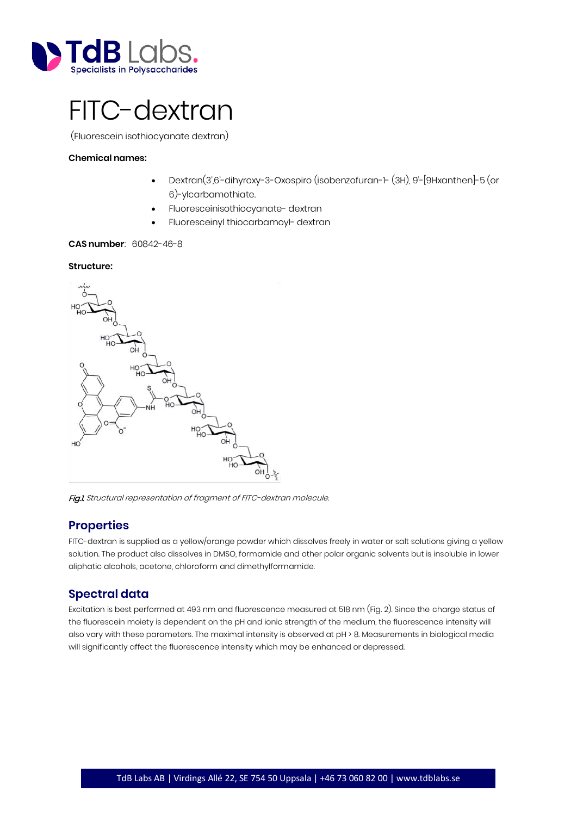

# FITC-dextran

(Fluorescein isothiocyanate dextran)

### **Chemical names:**

- Dextran(3',6'-dihyroxy-3-Oxospiro (isobenzofuran-1- (3H), 9'-[9Hxanthen]-5 (or 6)-ylcarbamothiate.
- Fluoresceinisothiocyanate- dextran
- Fluoresceinyl thiocarbamoyl- dextran

## **CAS number**: 60842-46-8

#### **Structure:**



Fig.1. Structural representation of fragment of FITC-dextran molecule.

# **Properties**

FITC-dextran is supplied as a yellow/orange powder which dissolves freely in water or salt solutions giving a yellow solution. The product also dissolves in DMSO, formamide and other polar organic solvents but is insoluble in lower aliphatic alcohols, acetone, chloroform and dimethylformamide.

# **Spectral data**

Excitation is best performed at 493 nm and fluorescence measured at 518 nm (Fig. 2). Since the charge status of the fluorescein moiety is dependent on the pH and ionic strength of the medium, the fluorescence intensity will also vary with these parameters. The maximal intensity is observed at pH > 8. Measurements in biological media will significantly affect the fluorescence intensity which may be enhanced or depressed.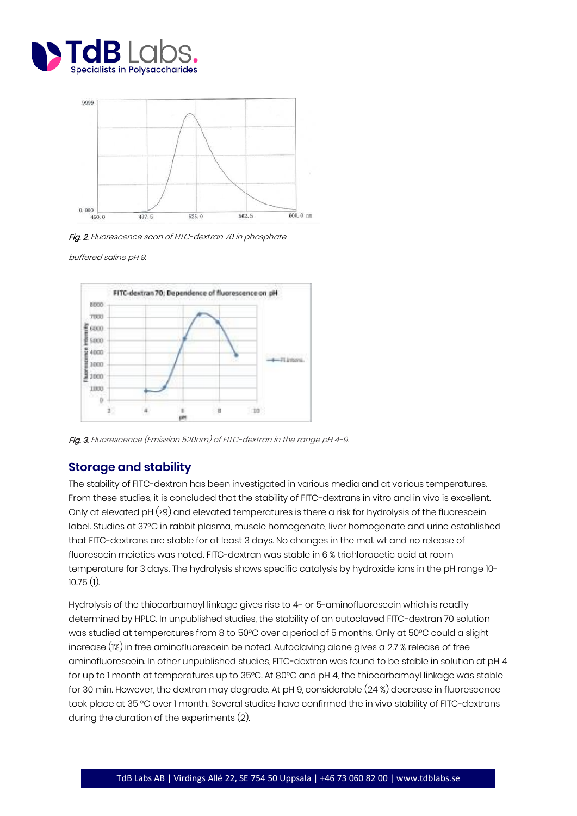



Fig. 2. Fluorescence scan of FITC-dextran 70 in phosphate

buffered saline pH 9.



Fig. 3. Fluorescence (Emission 520nm) of FITC-dextran in the range pH 4-9.

# **Storage and stability**

The stability of FITC-dextran has been investigated in various media and at various temperatures. From these studies, it is concluded that the stability of FITC-dextrans in vitro and in vivo is excellent. Only at elevated pH (>9) and elevated temperatures is there a risk for hydrolysis of the fluorescein label. Studies at 37°C in rabbit plasma, muscle homogenate, liver homogenate and urine established that FITC-dextrans are stable for at least 3 days. No changes in the mol. wt and no release of fluorescein moieties was noted. FITC-dextran was stable in 6 % trichloracetic acid at room temperature for 3 days. The hydrolysis shows specific catalysis by hydroxide ions in the pH range 10- 10.75 (1).

Hydrolysis of the thiocarbamoyl linkage gives rise to 4- or 5-aminofluorescein which is readily determined by HPLC. In unpublished studies, the stability of an autoclaved FITC-dextran 70 solution was studied at temperatures from 8 to 50°C over a period of 5 months. Only at 50°C could a slight increase (1%) in free aminofluorescein be noted. Autoclaving alone gives a 2.7 % release of free aminofluorescein. In other unpublished studies, FITC-dextran was found to be stable in solution at pH 4 for up to 1 month at temperatures up to 35°C. At 80°C and pH 4, the thiocarbamoyl linkage was stable for 30 min. However, the dextran may degrade. At pH 9, considerable (24 %) decrease in fluorescence took place at 35 °C over 1 month. Several studies have confirmed the in vivo stability of FITC-dextrans during the duration of the experiments (2).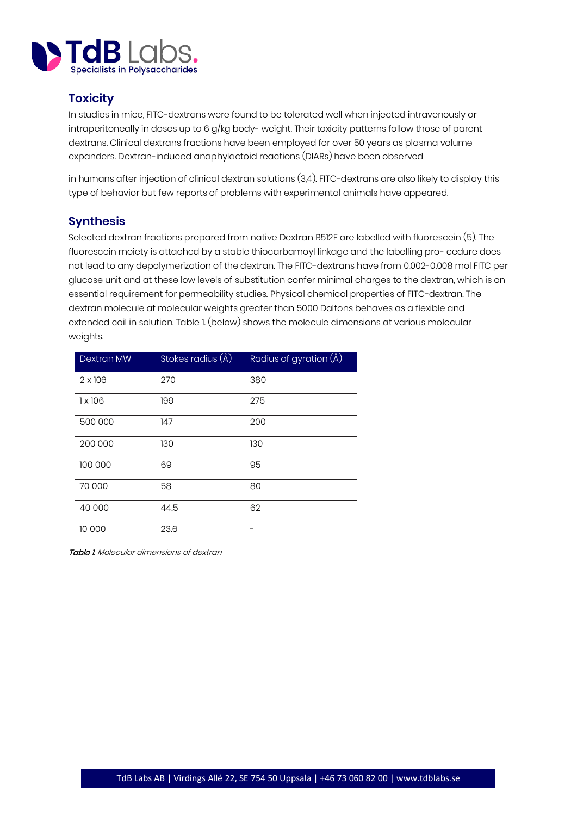

# **Toxicity**

In studies in mice, FITC-dextrans were found to be tolerated well when injected intravenously or intraperitoneally in doses up to 6 g/kg body- weight. Their toxicity patterns follow those of parent dextrans. Clinical dextrans fractions have been employed for over 50 years as plasma volume expanders. Dextran-induced anaphylactoid reactions (DIARs) have been observed

in humans after injection of clinical dextran solutions (3,4). FITC-dextrans are also likely to display this type of behavior but few reports of problems with experimental animals have appeared.

# **Synthesis**

Selected dextran fractions prepared from native Dextran B512F are labelled with fluorescein (5). The fluorescein moiety is attached by a stable thiocarbamoyl linkage and the labelling pro- cedure does not lead to any depolymerization of the dextran. The FITC-dextrans have from 0.002-0.008 mol FITC per glucose unit and at these low levels of substitution confer minimal charges to the dextran, which is an essential requirement for permeability studies. Physical chemical properties of FITC-dextran. The dextran molecule at molecular weights greater than 5000 Daltons behaves as a flexible and extended coil in solution. Table 1. (below) shows the molecule dimensions at various molecular weights.

| <b>Dextran MW</b> | Stokes radius (Å) | Radius of gyration $(\AA)$ |
|-------------------|-------------------|----------------------------|
| $2 \times 106$    | 270               | 380                        |
| 1 x 106           | 199               | 275                        |
| 500 000           | 147               | 200                        |
| 200 000           | 130               | 130                        |
| 100 000           | 69                | 95                         |
| 70 000            | 58                | 80                         |
| 40 000            | 44.5              | 62                         |
| 10 000            | 23.6              |                            |

**Table 1.** Molecular dimensions of dextran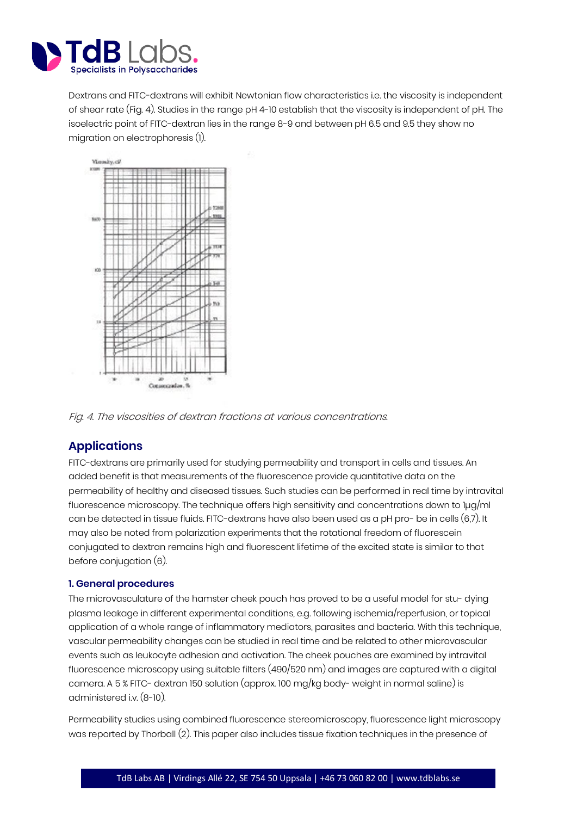

Dextrans and FITC-dextrans will exhibit Newtonian flow characteristics i.e. the viscosity is independent of shear rate (Fig. 4). Studies in the range pH 4-10 establish that the viscosity is independent of pH. The isoelectric point of FITC-dextran lies in the range 8-9 and between pH 6.5 and 9.5 they show no migration on electrophoresis (1).



Fig. 4. The viscosities of dextran fractions at various concentrations.

# **Applications**

FITC-dextrans are primarily used for studying permeability and transport in cells and tissues. An added benefit is that measurements of the fluorescence provide quantitative data on the permeability of healthy and diseased tissues. Such studies can be performed in real time by intravital fluorescence microscopy. The technique offers high sensitivity and concentrations down to 1µg/ml can be detected in tissue fluids. FITC-dextrans have also been used as a pH pro- be in cells (6,7). It may also be noted from polarization experiments that the rotational freedom of fluorescein conjugated to dextran remains high and fluorescent lifetime of the excited state is similar to that before conjugation (6).

## **1. General procedures**

The microvasculature of the hamster cheek pouch has proved to be a useful model for stu- dying plasma leakage in different experimental conditions, e.g. following ischemia/reperfusion, or topical application of a whole range of inflammatory mediators, parasites and bacteria. With this technique, vascular permeability changes can be studied in real time and be related to other microvascular events such as leukocyte adhesion and activation. The cheek pouches are examined by intravital fluorescence microscopy using suitable filters (490/520 nm) and images are captured with a digital camera. A 5 % FITC- dextran 150 solution (approx. 100 mg/kg body- weight in normal saline) is administered i.v. (8-10).

Permeability studies using combined fluorescence stereomicroscopy, fluorescence light microscopy was reported by Thorball (2). This paper also includes tissue fixation techniques in the presence of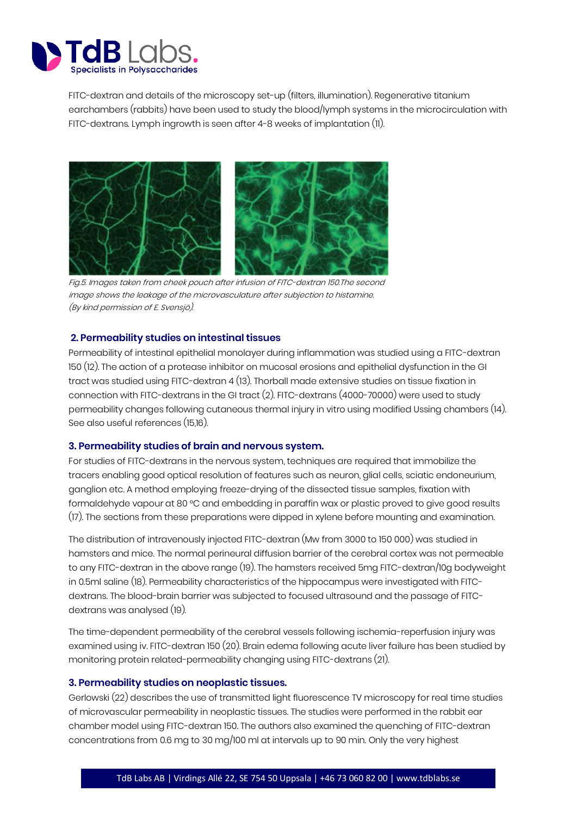

FITC-dextran and details of the microscopy set-up (filters, illumination). Regenerative titanium earchambers (rabbits) have been used to study the blood/lymph systems in the microcirculation with FITC-dextrans. Lymph ingrowth is seen after 4-8 weeks of implantation (11).



Fig.5. Images taken from cheek pouch after infusion of FITC-dextran 150.The second image shows the leakage of the microvasculature after subjection to histamine. (By kind permission of E. Svensjö).

## **2. Permeability studies on intestinal tissues**

Permeability of intestinal epithelial monolayer during inflammation was studied using a FITC-dextran 150 (12). The action of a protease inhibitor on mucosal erosions and epithelial dysfunction in the GI tract was studied using FITC-dextran 4 (13). Thorball made extensive studies on tissue fixation in connection with FITC-dextrans in the GI tract (2). FITC-dextrans (4000-70000) were used to study permeability changes following cutaneous thermal injury in vitro using modified Ussing chambers (14). See also useful references (15,16).

## **3. Permeability studies of brain and nervous system.**

For studies of FITC-dextrans in the nervous system, techniques are required that immobilize the tracers enabling good optical resolution of features such as neuron, glial cells, sciatic endoneurium, ganglion etc. A method employing freeze-drying of the dissected tissue samples, fixation with formaldehyde vapour at 80 °C and embedding in paraffin wax or plastic proved to give good results (17). The sections from these preparations were dipped in xylene before mounting and examination.

The distribution of intravenously injected FITC-dextran (Mw from 3000 to 150 000) was studied in hamsters and mice. The normal perineural diffusion barrier of the cerebral cortex was not permeable to any FITC-dextran in the above range (19). The hamsters received 5mg FITC-dextran/10g bodyweight in 0.5ml saline (18). Permeability characteristics of the hippocampus were investigated with FITCdextrans. The blood-brain barrier was subjected to focused ultrasound and the passage of FITCdextrans was analysed (19).

The time-dependent permeability of the cerebral vessels following ischemia-reperfusion injury was examined using iv. FITC-dextran 150 (20). Brain edema following acute liver failure has been studied by monitoring protein related-permeability changing using FITC-dextrans (21).

## **3. Permeability studies on neoplastic tissues.**

Gerlowski (22) describes the use of transmitted light fluorescence TV microscopy for real time studies of microvascular permeability in neoplastic tissues. The studies were performed in the rabbit ear chamber model using FITC-dextran 150. The authors also examined the quenching of FITC-dextran concentrations from 0.6 mg to 30 mg/100 ml at intervals up to 90 min. Only the very highest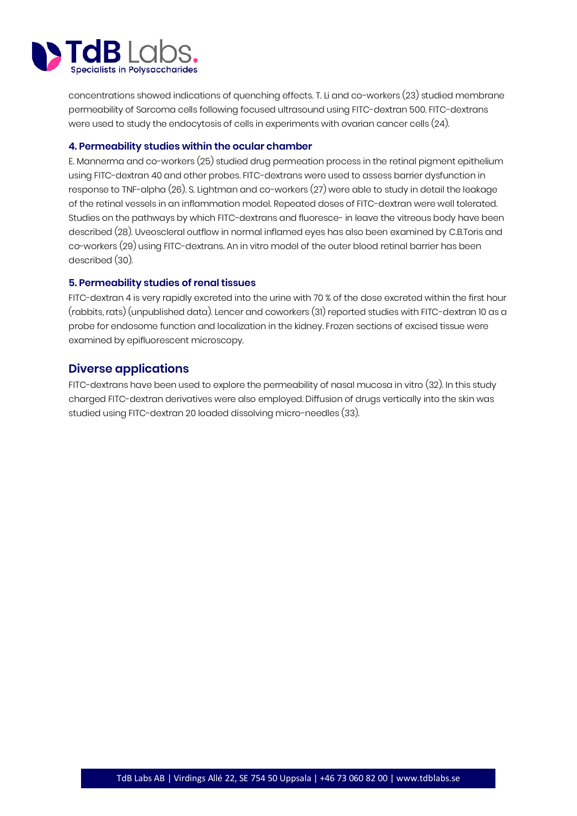

concentrations showed indications of quenching effects. T. Li and co-workers (23) studied membrane permeability of Sarcoma cells following focused ultrasound using FITC-dextran 500. FITC-dextrans were used to study the endocytosis of cells in experiments with ovarian cancer cells (24).

## **4. Permeability studies within the ocular chamber**

E. Mannerma and co-workers (25) studied drug permeation process in the retinal pigment epithelium using FITC-dextran 40 and other probes. FITC-dextrans were used to assess barrier dysfunction in response to TNF-alpha (26). S. Lightman and co-workers (27) were able to study in detail the leakage of the retinal vessels in an inflammation model. Repeated doses of FITC-dextran were well tolerated. Studies on the pathways by which FITC-dextrans and fluoresce- in leave the vitreous body have been described (28). Uveoscleral outflow in normal inflamed eyes has also been examined by C.B.Toris and co-workers (29) using FITC-dextrans. An in vitro model of the outer blood retinal barrier has been described (30).

## **5. Permeability studies of renal tissues**

FITC-dextran 4 is very rapidly excreted into the urine with 70 % of the dose excreted within the first hour (rabbits, rats) (unpublished data). Lencer and coworkers (31) reported studies with FITC-dextran 10 as a probe for endosome function and localization in the kidney. Frozen sections of excised tissue were examined by epifluorescent microscopy.

## **Diverse applications**

FITC-dextrans have been used to explore the permeability of nasal mucosa in vitro (32). In this study charged FITC-dextran derivatives were also employed. Diffusion of drugs vertically into the skin was studied using FITC-dextran 20 loaded dissolving micro-needles (33).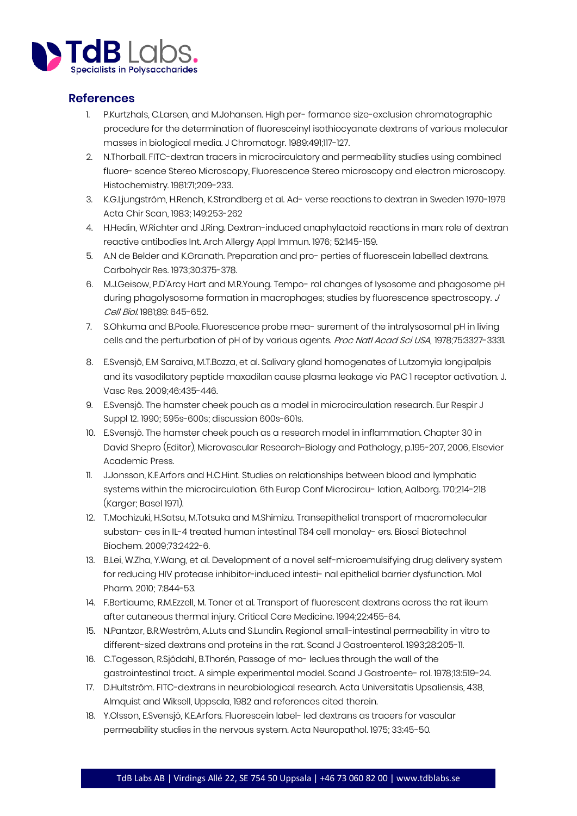

# **References**

- 1. P.Kurtzhals, C.Larsen, and M.Johansen. High per- formance size-exclusion chromatographic procedure for the determination of fluoresceinyl isothiocyanate dextrans of various molecular masses in biological media. J Chromatogr. 1989:491;117-127.
- 2. N.Thorball. FITC-dextran tracers in microcirculatory and permeability studies using combined fluore- scence Stereo Microscopy, Fluorescence Stereo microscopy and electron microscopy. Histochemistry. 1981:71;209-233.
- 3. K.G.Ljungström, H.Rench, K.Strandberg et al. Ad- verse reactions to dextran in Sweden 1970-1979 Acta Chir Scan, 1983; 149:253-262
- 4. H.Hedin, W.Richter and J.Ring. Dextran-induced anaphylactoid reactions in man: role of dextran reactive antibodies Int. Arch Allergy Appl Immun. 1976; 52:145-159.
- 5. A.N de Belder and K.Granath. Preparation and pro- perties of fluorescein labelled dextrans. Carbohydr Res. 1973;30:375-378.
- 6. M.J.Geisow, P.D'Arcy Hart and M.R.Young. Tempo- ral changes of lysosome and phagosome pH during phagolysosome formation in macrophages; studies by fluorescence spectroscopy. J Cell Biol. 1981;89: 645-652.
- 7. S.Ohkuma and B.Poole. Fluorescence probe mea- surement of the intralysosomal pH in living cells and the perturbation of pH of by various agents. Proc Natl Acad Sci USA, 1978;75:3327-3331.
- 8. E.Svensjö, E.M Saraiva, M.T.Bozza, et al. Salivary gland homogenates of Lutzomyia longipalpis and its vasodilatory peptide maxadilan cause plasma leakage via PAC 1 receptor activation. J. Vasc Res. 2009;46:435-446.
- 9. E.Svensjö. The hamster cheek pouch as a model in microcirculation research. Eur Respir J Suppl 12. 1990; 595s-600s; discussion 600s-601s.
- 10. E.Svensjö. The hamster cheek pouch as a research model in inflammation. Chapter 30 in David Shepro (Editor), Microvascular Research-Biology and Pathology, p.195-207, 2006, Elsevier Academic Press.
- 11. J.Jonsson, K.E.Arfors and H.C.Hint. Studies on relationships between blood and lymphatic systems within the microcirculation. 6th Europ Conf Microcircu- lation, Aalborg. 170;214-218 (Karger; Basel 1971).
- 12. T.Mochizuki, H.Satsu, M.Totsuka and M.Shimizu. Transepithelial transport of macromolecular substan- ces in IL-4 treated human intestinal T84 cell monolay- ers. Biosci Biotechnol Biochem. 2009;73:2422-6.
- 13. B.Lei, W.Zha, Y.Wang, et al. Development of a novel self-microemulsifying drug delivery system for reducing HIV protease inhibitor-induced intesti- nal epithelial barrier dysfunction. Mol Pharm. 2010; 7:844-53.
- 14. F.Bertiaume, R.M.Ezzell, M. Toner et al. Transport of fluorescent dextrans across the rat ileum after cutaneous thermal injury. Critical Care Medicine. 1994;22:455-64.
- 15. N.Pantzar, B.R.Weström, A.Luts and S.Lundin. Regional small-intestinal permeability in vitro to different-sized dextrans and proteins in the rat. Scand J Gastroenterol. 1993;28:205-11.
- 16. C.Tagesson, R.Sjödahl, B.Thorén, Passage of mo- leclues through the wall of the gastrointestinal tract.. A simple experimental model. Scand J Gastroente- rol. 1978;13:519-24.
- 17. D.Hultström. FITC-dextrans in neurobiological research. Acta Universitatis Upsaliensis, 438, Almquist and Wiksell, Uppsala, 1982 and references cited therein.
- 18. Y.Olsson, E.Svensjö, K.E.Arfors. Fluorescein label- led dextrans as tracers for vascular permeability studies in the nervous system. Acta Neuropathol. 1975; 33:45-50.